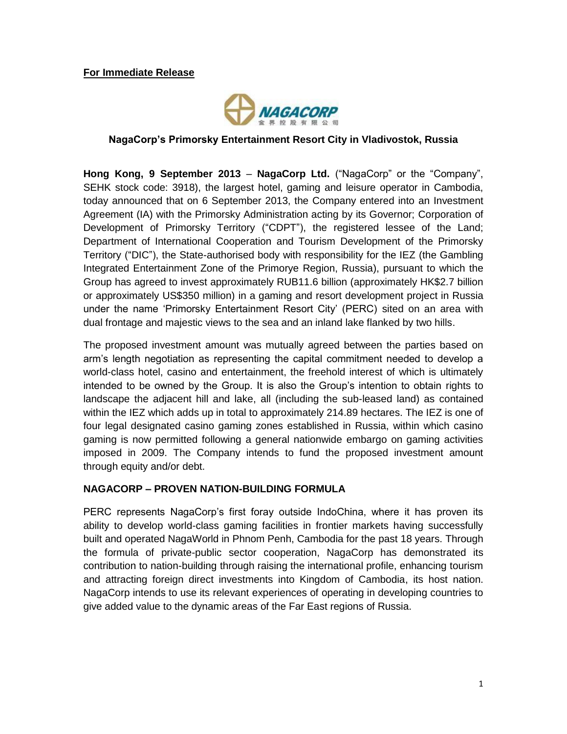

#### **NagaCorp's Primorsky Entertainment Resort City in Vladivostok, Russia**

**Hong Kong, 9 September 2013** – **NagaCorp Ltd.** ("NagaCorp" or the "Company", SEHK stock code: 3918), the largest hotel, gaming and leisure operator in Cambodia, today announced that on 6 September 2013, the Company entered into an Investment Agreement (IA) with the Primorsky Administration acting by its Governor; Corporation of Development of Primorsky Territory ("CDPT"), the registered lessee of the Land; Department of International Cooperation and Tourism Development of the Primorsky Territory ("DIC"), the State-authorised body with responsibility for the IEZ (the Gambling Integrated Entertainment Zone of the Primorye Region, Russia), pursuant to which the Group has agreed to invest approximately RUB11.6 billion (approximately HK\$2.7 billion or approximately US\$350 million) in a gaming and resort development project in Russia under the name 'Primorsky Entertainment Resort City' (PERC) sited on an area with dual frontage and majestic views to the sea and an inland lake flanked by two hills.

The proposed investment amount was mutually agreed between the parties based on arm's length negotiation as representing the capital commitment needed to develop a world-class hotel, casino and entertainment, the freehold interest of which is ultimately intended to be owned by the Group. It is also the Group's intention to obtain rights to landscape the adjacent hill and lake, all (including the sub-leased land) as contained within the IEZ which adds up in total to approximately 214.89 hectares. The IEZ is one of four legal designated casino gaming zones established in Russia, within which casino gaming is now permitted following a general nationwide embargo on gaming activities imposed in 2009. The Company intends to fund the proposed investment amount through equity and/or debt.

### **NAGACORP – PROVEN NATION-BUILDING FORMULA**

PERC represents NagaCorp's first foray outside IndoChina, where it has proven its ability to develop world-class gaming facilities in frontier markets having successfully built and operated NagaWorld in Phnom Penh, Cambodia for the past 18 years. Through the formula of private-public sector cooperation, NagaCorp has demonstrated its contribution to nation-building through raising the international profile, enhancing tourism and attracting foreign direct investments into Kingdom of Cambodia, its host nation. NagaCorp intends to use its relevant experiences of operating in developing countries to give added value to the dynamic areas of the Far East regions of Russia.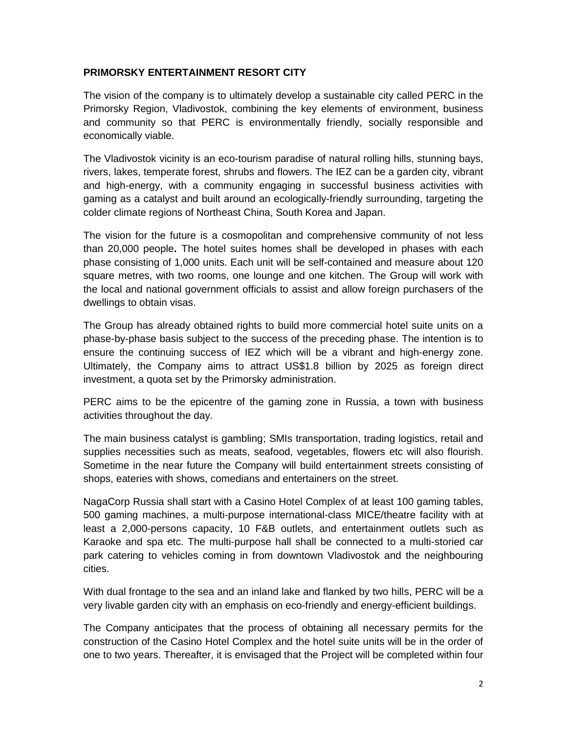## **PRIMORSKY ENTERTAINMENT RESORT CITY**

The vision of the company is to ultimately develop a sustainable city called PERC in the Primorsky Region, Vladivostok, combining the key elements of environment, business and community so that PERC is environmentally friendly, socially responsible and economically viable.

The Vladivostok vicinity is an eco-tourism paradise of natural rolling hills, stunning bays, rivers, lakes, temperate forest, shrubs and flowers. The IEZ can be a garden city, vibrant and high-energy, with a community engaging in successful business activities with gaming as a catalyst and built around an ecologically-friendly surrounding, targeting the colder climate regions of Northeast China, South Korea and Japan.

The vision for the future is a cosmopolitan and comprehensive community of not less than 20,000 people**.** The hotel suites homes shall be developed in phases with each phase consisting of 1,000 units. Each unit will be self-contained and measure about 120 square metres, with two rooms, one lounge and one kitchen. The Group will work with the local and national government officials to assist and allow foreign purchasers of the dwellings to obtain visas.

The Group has already obtained rights to build more commercial hotel suite units on a phase-by-phase basis subject to the success of the preceding phase. The intention is to ensure the continuing success of IEZ which will be a vibrant and high-energy zone. Ultimately, the Company aims to attract US\$1.8 billion by 2025 as foreign direct investment, a quota set by the Primorsky administration.

PERC aims to be the epicentre of the gaming zone in Russia, a town with business activities throughout the day.

The main business catalyst is gambling; SMIs transportation, trading logistics, retail and supplies necessities such as meats, seafood, vegetables, flowers etc will also flourish. Sometime in the near future the Company will build entertainment streets consisting of shops, eateries with shows, comedians and entertainers on the street.

NagaCorp Russia shall start with a Casino Hotel Complex of at least 100 gaming tables, 500 gaming machines, a multi-purpose international-class MICE/theatre facility with at least a 2,000-persons capacity, 10 F&B outlets, and entertainment outlets such as Karaoke and spa etc. The multi-purpose hall shall be connected to a multi-storied car park catering to vehicles coming in from downtown Vladivostok and the neighbouring cities.

With dual frontage to the sea and an inland lake and flanked by two hills, PERC will be a very livable garden city with an emphasis on eco-friendly and energy-efficient buildings.

The Company anticipates that the process of obtaining all necessary permits for the construction of the Casino Hotel Complex and the hotel suite units will be in the order of one to two years. Thereafter, it is envisaged that the Project will be completed within four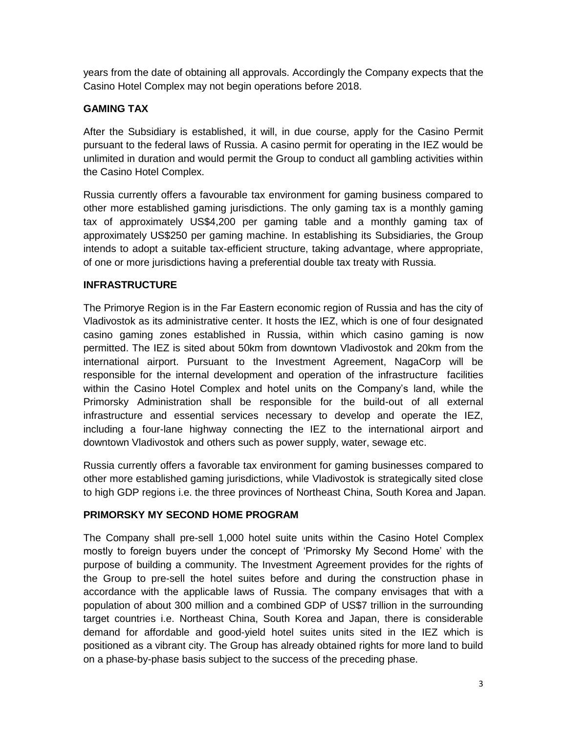years from the date of obtaining all approvals. Accordingly the Company expects that the Casino Hotel Complex may not begin operations before 2018.

## **GAMING TAX**

After the Subsidiary is established, it will, in due course, apply for the Casino Permit pursuant to the federal laws of Russia. A casino permit for operating in the IEZ would be unlimited in duration and would permit the Group to conduct all gambling activities within the Casino Hotel Complex.

Russia currently offers a favourable tax environment for gaming business compared to other more established gaming jurisdictions. The only gaming tax is a monthly gaming tax of approximately US\$4,200 per gaming table and a monthly gaming tax of approximately US\$250 per gaming machine. In establishing its Subsidiaries, the Group intends to adopt a suitable tax-efficient structure, taking advantage, where appropriate, of one or more jurisdictions having a preferential double tax treaty with Russia.

### **INFRASTRUCTURE**

The Primorye Region is in the Far Eastern economic region of Russia and has the city of Vladivostok as its administrative center. It hosts the IEZ, which is one of four designated casino gaming zones established in Russia, within which casino gaming is now permitted. The IEZ is sited about 50km from downtown Vladivostok and 20km from the international airport. Pursuant to the Investment Agreement, NagaCorp will be responsible for the internal development and operation of the infrastructure facilities within the Casino Hotel Complex and hotel units on the Company's land, while the Primorsky Administration shall be responsible for the build-out of all external infrastructure and essential services necessary to develop and operate the IEZ, including a four-lane highway connecting the IEZ to the international airport and downtown Vladivostok and others such as power supply, water, sewage etc.

Russia currently offers a favorable tax environment for gaming businesses compared to other more established gaming jurisdictions, while Vladivostok is strategically sited close to high GDP regions i.e. the three provinces of Northeast China, South Korea and Japan.

# **PRIMORSKY MY SECOND HOME PROGRAM**

The Company shall pre-sell 1,000 hotel suite units within the Casino Hotel Complex mostly to foreign buyers under the concept of 'Primorsky My Second Home' with the purpose of building a community. The Investment Agreement provides for the rights of the Group to pre-sell the hotel suites before and during the construction phase in accordance with the applicable laws of Russia. The company envisages that with a population of about 300 million and a combined GDP of US\$7 trillion in the surrounding target countries i.e. Northeast China, South Korea and Japan, there is considerable demand for affordable and good-yield hotel suites units sited in the IEZ which is positioned as a vibrant city. The Group has already obtained rights for more land to build on a phase-by-phase basis subject to the success of the preceding phase.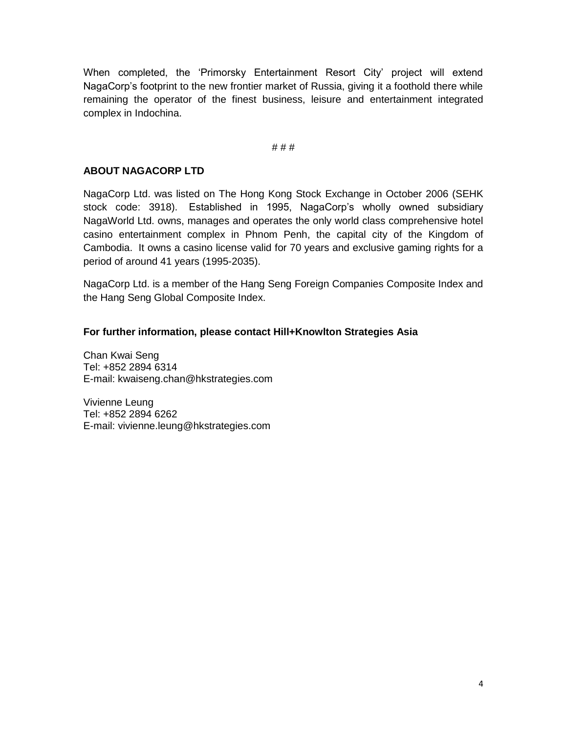When completed, the 'Primorsky Entertainment Resort City' project will extend NagaCorp's footprint to the new frontier market of Russia, giving it a foothold there while remaining the operator of the finest business, leisure and entertainment integrated complex in Indochina.

#### # # #

## **ABOUT NAGACORP LTD**

NagaCorp Ltd. was listed on The Hong Kong Stock Exchange in October 2006 (SEHK stock code: 3918). Established in 1995, NagaCorp's wholly owned subsidiary NagaWorld Ltd. owns, manages and operates the only world class comprehensive hotel casino entertainment complex in Phnom Penh, the capital city of the Kingdom of Cambodia. It owns a casino license valid for 70 years and exclusive gaming rights for a period of around 41 years (1995-2035).

NagaCorp Ltd. is a member of the Hang Seng Foreign Companies Composite Index and the Hang Seng Global Composite Index.

### **For further information, please contact Hill+Knowlton Strategies Asia**

Chan Kwai Seng Tel: +852 2894 6314 E-mail: kwaiseng.chan@hkstrategies.com

Vivienne Leung Tel: +852 2894 6262 E-mail: vivienne.leung@hkstrategies.com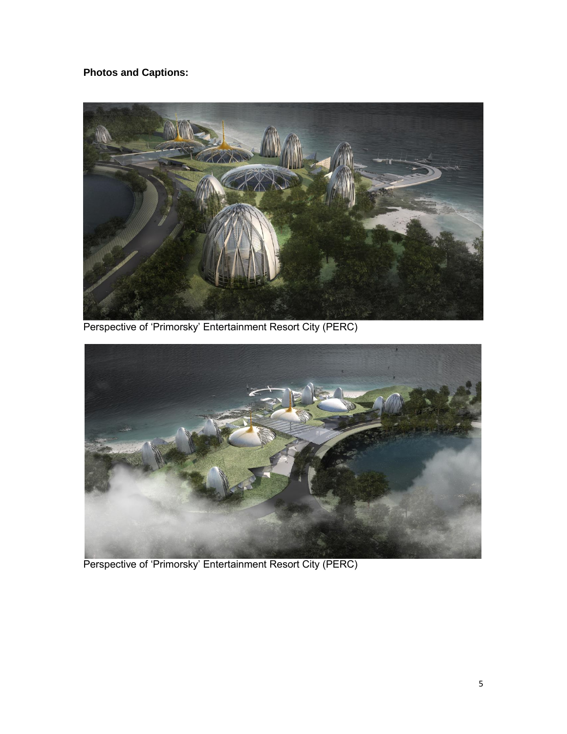**Photos and Captions:**



Perspective of 'Primorsky' Entertainment Resort City (PERC)



Perspective of 'Primorsky' Entertainment Resort City (PERC)